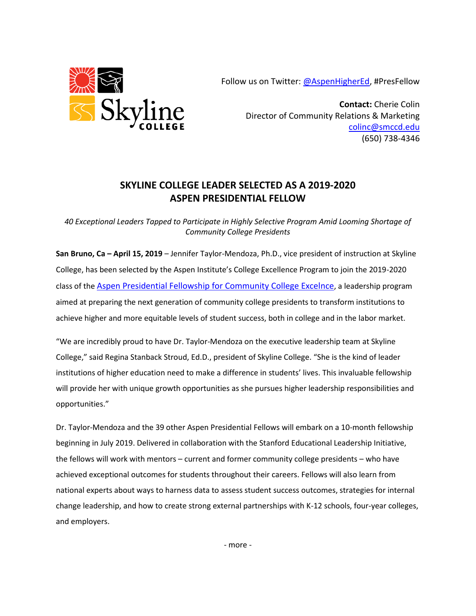Follow us on Twitter: [@AspenHigherEd,](https://twitter.com/aspenhighered) #PresFellow



**Contact:** Cherie Colin Director of Community Relations & Marketing [colinc@smccd.edu](mailto:colinc@smccd.edu) (650) 738-4346

## **SKYLINE COLLEGE LEADER SELECTED AS A 2019-2020 ASPEN PRESIDENTIAL FELLOW**

*40 Exceptional Leaders Tapped to Participate in Highly Selective Program Amid Looming Shortage of Community College Presidents* 

**San Bruno, Ca – April 15, 2019** – Jennifer Taylor-Mendoza, Ph.D., vice president of instruction at Skyline College, has been selected by the Aspen Institute's College Excellence Program to join the 2019-2020 class of the [Aspen Presidential Fellowship for Community College Excelnce](http://highered.aspeninstitute.org/aspen-presidential-fellowship-community-college-excellence/), a leadership program aimed at preparing the next generation of community college presidents to transform institutions to achieve higher and more equitable levels of student success, both in college and in the labor market.

"We are incredibly proud to have Dr. Taylor-Mendoza on the executive leadership team at Skyline College," said Regina Stanback Stroud, Ed.D., president of Skyline College. "She is the kind of leader institutions of higher education need to make a difference in students' lives. This invaluable fellowship will provide her with unique growth opportunities as she pursues higher leadership responsibilities and opportunities."

Dr. Taylor-Mendoza and the 39 other Aspen Presidential Fellows will embark on a 10-month fellowship beginning in July 2019. Delivered in collaboration with the Stanford Educational Leadership Initiative, the fellows will work with mentors – current and former community college presidents – who have achieved exceptional outcomes for students throughout their careers. Fellows will also learn from national experts about ways to harness data to assess student success outcomes, strategies for internal change leadership, and how to create strong external partnerships with K-12 schools, four-year colleges, and employers.

- more -